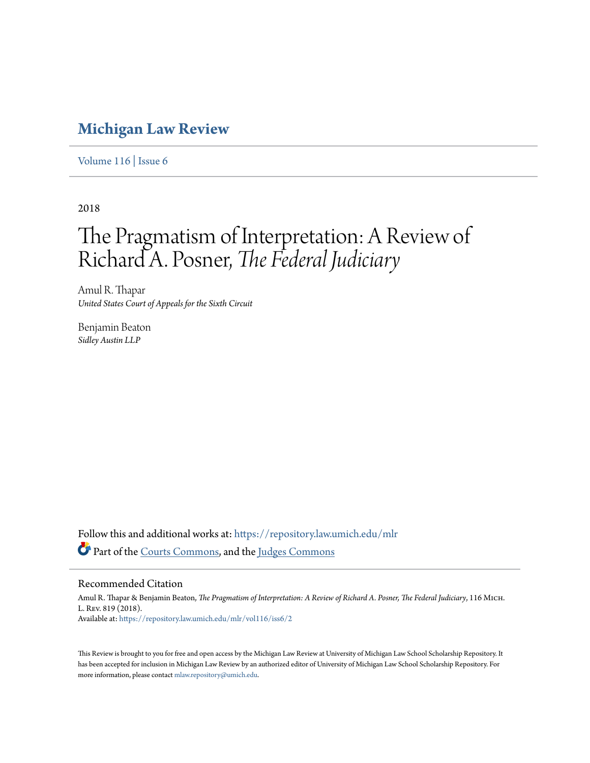## **[Michigan Law Review](https://repository.law.umich.edu/mlr?utm_source=repository.law.umich.edu%2Fmlr%2Fvol116%2Fiss6%2F2&utm_medium=PDF&utm_campaign=PDFCoverPages)**

[Volume 116](https://repository.law.umich.edu/mlr/vol116?utm_source=repository.law.umich.edu%2Fmlr%2Fvol116%2Fiss6%2F2&utm_medium=PDF&utm_campaign=PDFCoverPages) | [Issue 6](https://repository.law.umich.edu/mlr/vol116/iss6?utm_source=repository.law.umich.edu%2Fmlr%2Fvol116%2Fiss6%2F2&utm_medium=PDF&utm_campaign=PDFCoverPages)

2018

# The Pragmatism of Interpretation: A Review of Richard A. Posner, *The Federal Judiciary*

Amul R. Thapar *United States Court of Appeals for the Sixth Circuit*

Benjamin Beaton *Sidley Austin LLP*

Follow this and additional works at: [https://repository.law.umich.edu/mlr](https://repository.law.umich.edu/mlr?utm_source=repository.law.umich.edu%2Fmlr%2Fvol116%2Fiss6%2F2&utm_medium=PDF&utm_campaign=PDFCoverPages) Part of the [Courts Commons](http://network.bepress.com/hgg/discipline/839?utm_source=repository.law.umich.edu%2Fmlr%2Fvol116%2Fiss6%2F2&utm_medium=PDF&utm_campaign=PDFCoverPages), and the [Judges Commons](http://network.bepress.com/hgg/discipline/849?utm_source=repository.law.umich.edu%2Fmlr%2Fvol116%2Fiss6%2F2&utm_medium=PDF&utm_campaign=PDFCoverPages)

#### Recommended Citation

Amul R. Thapar & Benjamin Beaton, *The Pragmatism of Interpretation: A Review of Richard A. Posner, The Federal Judiciary*, 116 Mich. L. Rev. 819 (2018). Available at: [https://repository.law.umich.edu/mlr/vol116/iss6/2](https://repository.law.umich.edu/mlr/vol116/iss6/2?utm_source=repository.law.umich.edu%2Fmlr%2Fvol116%2Fiss6%2F2&utm_medium=PDF&utm_campaign=PDFCoverPages)

This Review is brought to you for free and open access by the Michigan Law Review at University of Michigan Law School Scholarship Repository. It has been accepted for inclusion in Michigan Law Review by an authorized editor of University of Michigan Law School Scholarship Repository. For more information, please contact [mlaw.repository@umich.edu](mailto:mlaw.repository@umich.edu).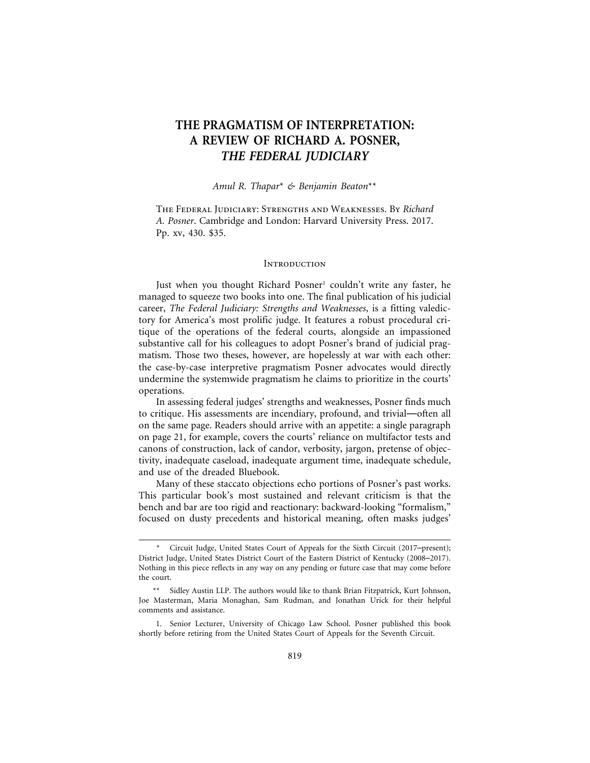### **THE PRAGMATISM OF INTERPRETATION: A REVIEW OF RICHARD A. POSNER,** *THE FEDERAL JUDICIARY*

#### *Amul R. Thapar*\* *& Benjamin Beaton*\*\*

The Federal Judiciary: Strengths and Weaknesses. By *Richard A. Posner*. Cambridge and London: Harvard University Press. 2017. Pp. xv, 430. \$35.

#### **INTRODUCTION**

Just when you thought Richard Posner<sup>1</sup> couldn't write any faster, he managed to squeeze two books into one. The final publication of his judicial career, *The Federal Judiciary: Strengths and Weaknesses*, is a fitting valedictory for America's most prolific judge. It features a robust procedural critique of the operations of the federal courts, alongside an impassioned substantive call for his colleagues to adopt Posner's brand of judicial pragmatism. Those two theses, however, are hopelessly at war with each other: the case-by-case interpretive pragmatism Posner advocates would directly undermine the systemwide pragmatism he claims to prioritize in the courts' operations.

In assessing federal judges' strengths and weaknesses, Posner finds much to critique. His assessments are incendiary, profound, and trivial—often all on the same page. Readers should arrive with an appetite: a single paragraph on page 21, for example, covers the courts' reliance on multifactor tests and canons of construction, lack of candor, verbosity, jargon, pretense of objectivity, inadequate caseload, inadequate argument time, inadequate schedule, and use of the dreaded Bluebook.

Many of these staccato objections echo portions of Posner's past works. This particular book's most sustained and relevant criticism is that the bench and bar are too rigid and reactionary: backward-looking "formalism," focused on dusty precedents and historical meaning, often masks judges'

Circuit Judge, United States Court of Appeals for the Sixth Circuit (2017–present); District Judge, United States District Court of the Eastern District of Kentucky (2008–2017). Nothing in this piece reflects in any way on any pending or future case that may come before the court.

<sup>\*\*</sup> Sidley Austin LLP. The authors would like to thank Brian Fitzpatrick, Kurt Johnson, Joe Masterman, Maria Monaghan, Sam Rudman, and Jonathan Urick for their helpful comments and assistance.

<sup>1.</sup> Senior Lecturer, University of Chicago Law School. Posner published this book shortly before retiring from the United States Court of Appeals for the Seventh Circuit.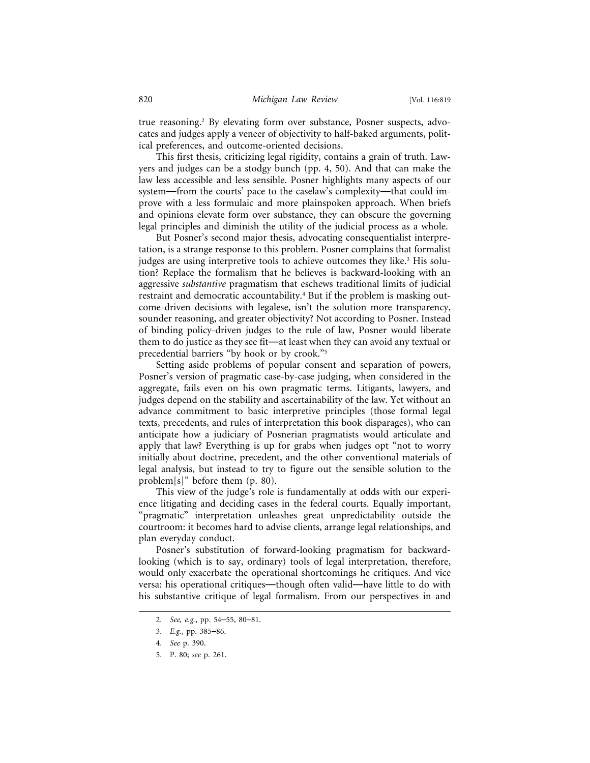true reasoning.2 By elevating form over substance, Posner suspects, advocates and judges apply a veneer of objectivity to half-baked arguments, political preferences, and outcome-oriented decisions.

This first thesis, criticizing legal rigidity, contains a grain of truth. Lawyers and judges can be a stodgy bunch (pp. 4, 50). And that can make the law less accessible and less sensible. Posner highlights many aspects of our system—from the courts' pace to the caselaw's complexity—that could improve with a less formulaic and more plainspoken approach. When briefs and opinions elevate form over substance, they can obscure the governing legal principles and diminish the utility of the judicial process as a whole.

But Posner's second major thesis, advocating consequentialist interpretation, is a strange response to this problem. Posner complains that formalist judges are using interpretive tools to achieve outcomes they like.<sup>3</sup> His solution? Replace the formalism that he believes is backward-looking with an aggressive *substantive* pragmatism that eschews traditional limits of judicial restraint and democratic accountability.4 But if the problem is masking outcome-driven decisions with legalese, isn't the solution more transparency, sounder reasoning, and greater objectivity? Not according to Posner. Instead of binding policy-driven judges to the rule of law, Posner would liberate them to do justice as they see fit—at least when they can avoid any textual or precedential barriers "by hook or by crook."5

Setting aside problems of popular consent and separation of powers, Posner's version of pragmatic case-by-case judging, when considered in the aggregate, fails even on his own pragmatic terms. Litigants, lawyers, and judges depend on the stability and ascertainability of the law. Yet without an advance commitment to basic interpretive principles (those formal legal texts, precedents, and rules of interpretation this book disparages), who can anticipate how a judiciary of Posnerian pragmatists would articulate and apply that law? Everything is up for grabs when judges opt "not to worry initially about doctrine, precedent, and the other conventional materials of legal analysis, but instead to try to figure out the sensible solution to the problem[s]" before them (p. 80).

This view of the judge's role is fundamentally at odds with our experience litigating and deciding cases in the federal courts. Equally important, "pragmatic" interpretation unleashes great unpredictability outside the courtroom: it becomes hard to advise clients, arrange legal relationships, and plan everyday conduct.

Posner's substitution of forward-looking pragmatism for backwardlooking (which is to say, ordinary) tools of legal interpretation, therefore, would only exacerbate the operational shortcomings he critiques. And vice versa: his operational critiques—though often valid—have little to do with his substantive critique of legal formalism. From our perspectives in and

<sup>2.</sup> *See, e.g.*, pp. 54–55, 80–81.

<sup>3.</sup> *E.g.*, pp. 385–86.

<sup>4.</sup> *See* p. 390.

<sup>5.</sup> P. 80; *see* p. 261.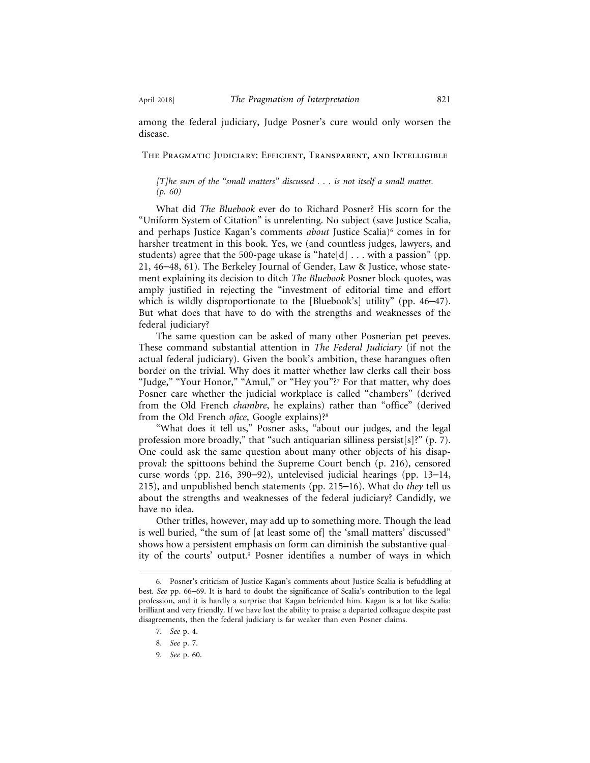among the federal judiciary, Judge Posner's cure would only worsen the disease.

The Pragmatic Judiciary: Efficient, Transparent, and Intelligible

#### *[T]he sum of the "small matters" discussed . . . is not itself a small matter. (p. 60)*

What did *The Bluebook* ever do to Richard Posner? His scorn for the "Uniform System of Citation" is unrelenting. No subject (save Justice Scalia, and perhaps Justice Kagan's comments *about* Justice Scalia)<sup>6</sup> comes in for harsher treatment in this book. Yes, we (and countless judges, lawyers, and students) agree that the 500-page ukase is "hate[d]  $\dots$  with a passion" (pp. 21, 46–48, 61). The Berkeley Journal of Gender, Law & Justice, whose statement explaining its decision to ditch *The Bluebook* Posner block-quotes, was amply justified in rejecting the "investment of editorial time and effort which is wildly disproportionate to the [Bluebook's] utility" (pp. 46–47). But what does that have to do with the strengths and weaknesses of the federal judiciary?

The same question can be asked of many other Posnerian pet peeves. These command substantial attention in *The Federal Judiciary* (if not the actual federal judiciary). Given the book's ambition, these harangues often border on the trivial. Why does it matter whether law clerks call their boss "Judge," "Your Honor," "Amul," or "Hey you"?7 For that matter, why does Posner care whether the judicial workplace is called "chambers" (derived from the Old French *chambre*, he explains) rather than "office" (derived from the Old French *ofice*, Google explains)?8

"What does it tell us," Posner asks, "about our judges, and the legal profession more broadly," that "such antiquarian silliness persist[s]?" (p. 7). One could ask the same question about many other objects of his disapproval: the spittoons behind the Supreme Court bench (p. 216), censored curse words (pp. 216, 390–92), untelevised judicial hearings (pp. 13–14, 215), and unpublished bench statements (pp. 215–16). What do *they* tell us about the strengths and weaknesses of the federal judiciary? Candidly, we have no idea.

Other trifles, however, may add up to something more. Though the lead is well buried, "the sum of [at least some of] the 'small matters' discussed" shows how a persistent emphasis on form can diminish the substantive quality of the courts' output.9 Posner identifies a number of ways in which

<sup>6.</sup> Posner's criticism of Justice Kagan's comments about Justice Scalia is befuddling at best. *See* pp. 66–69. It is hard to doubt the significance of Scalia's contribution to the legal profession, and it is hardly a surprise that Kagan befriended him. Kagan is a lot like Scalia: brilliant and very friendly. If we have lost the ability to praise a departed colleague despite past disagreements, then the federal judiciary is far weaker than even Posner claims.

<sup>7.</sup> *See* p. 4.

<sup>8.</sup> *See* p. 7.

<sup>9.</sup> *See* p. 60.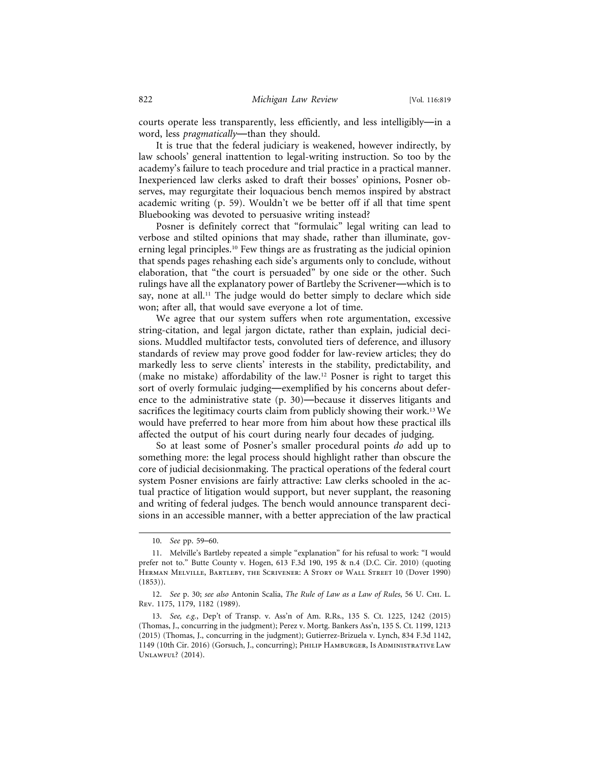courts operate less transparently, less efficiently, and less intelligibly—in a word, less *pragmatically*—than they should.

It is true that the federal judiciary is weakened, however indirectly, by law schools' general inattention to legal-writing instruction. So too by the academy's failure to teach procedure and trial practice in a practical manner. Inexperienced law clerks asked to draft their bosses' opinions, Posner observes, may regurgitate their loquacious bench memos inspired by abstract academic writing (p. 59). Wouldn't we be better off if all that time spent Bluebooking was devoted to persuasive writing instead?

Posner is definitely correct that "formulaic" legal writing can lead to verbose and stilted opinions that may shade, rather than illuminate, governing legal principles.10 Few things are as frustrating as the judicial opinion that spends pages rehashing each side's arguments only to conclude, without elaboration, that "the court is persuaded" by one side or the other. Such rulings have all the explanatory power of Bartleby the Scrivener—which is to say, none at all.<sup>11</sup> The judge would do better simply to declare which side won; after all, that would save everyone a lot of time.

We agree that our system suffers when rote argumentation, excessive string-citation, and legal jargon dictate, rather than explain, judicial decisions. Muddled multifactor tests, convoluted tiers of deference, and illusory standards of review may prove good fodder for law-review articles; they do markedly less to serve clients' interests in the stability, predictability, and (make no mistake) affordability of the law.12 Posner is right to target this sort of overly formulaic judging—exemplified by his concerns about deference to the administrative state (p. 30)—because it disserves litigants and sacrifices the legitimacy courts claim from publicly showing their work.<sup>13</sup> We would have preferred to hear more from him about how these practical ills affected the output of his court during nearly four decades of judging.

So at least some of Posner's smaller procedural points *do* add up to something more: the legal process should highlight rather than obscure the core of judicial decisionmaking. The practical operations of the federal court system Posner envisions are fairly attractive: Law clerks schooled in the actual practice of litigation would support, but never supplant, the reasoning and writing of federal judges. The bench would announce transparent decisions in an accessible manner, with a better appreciation of the law practical

<sup>10.</sup> *See* pp. 59–60.

<sup>11.</sup> Melville's Bartleby repeated a simple "explanation" for his refusal to work: "I would prefer not to." Butte County v. Hogen, 613 F.3d 190, 195 & n.4 (D.C. Cir. 2010) (quoting Herman Melville, Bartleby, the Scrivener: A Story of Wall Street 10 (Dover 1990)  $(1853)$ .

<sup>12.</sup> *See* p. 30; *see also* Antonin Scalia, *The Rule of Law as a Law of Rules*, 56 U. Chi. L. Rev. 1175, 1179, 1182 (1989).

<sup>13.</sup> *See, e.g.*, Dep't of Transp. v. Ass'n of Am. R.Rs., 135 S. Ct. 1225, 1242 (2015) (Thomas, J., concurring in the judgment); Perez v. Mortg. Bankers Ass'n, 135 S. Ct. 1199, 1213 (2015) (Thomas, J., concurring in the judgment); Gutierrez-Brizuela v. Lynch, 834 F.3d 1142, 1149 (10th Cir. 2016) (Gorsuch, J., concurring); Philip Hamburger, Is Administrative Law Unlawful? (2014).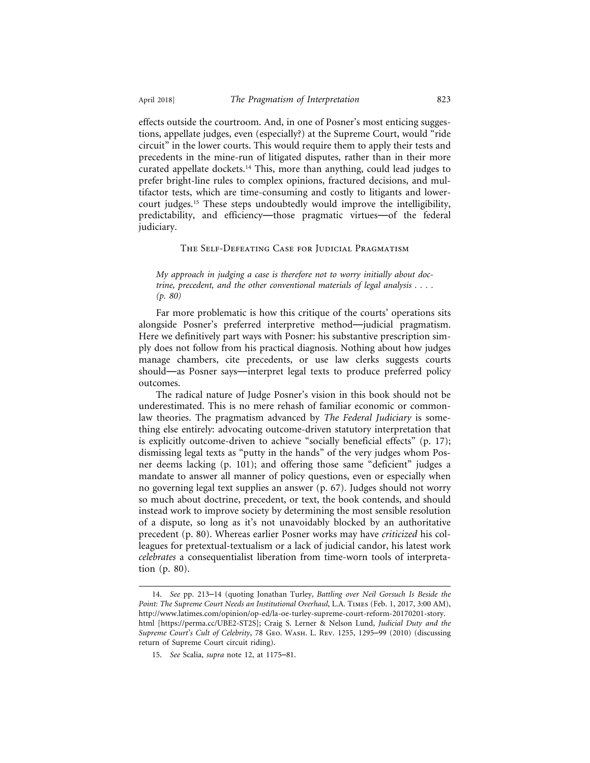effects outside the courtroom. And, in one of Posner's most enticing suggestions, appellate judges, even (especially?) at the Supreme Court, would "ride circuit" in the lower courts. This would require them to apply their tests and precedents in the mine-run of litigated disputes, rather than in their more curated appellate dockets.14 This, more than anything, could lead judges to prefer bright-line rules to complex opinions, fractured decisions, and multifactor tests, which are time-consuming and costly to litigants and lowercourt judges.15 These steps undoubtedly would improve the intelligibility, predictability, and efficiency—those pragmatic virtues—of the federal judiciary.

#### The Self-Defeating Case for Judicial Pragmatism

*My approach in judging a case is therefore not to worry initially about doctrine, precedent, and the other conventional materials of legal analysis . . . . (p. 80)*

Far more problematic is how this critique of the courts' operations sits alongside Posner's preferred interpretive method—judicial pragmatism. Here we definitively part ways with Posner: his substantive prescription simply does not follow from his practical diagnosis. Nothing about how judges manage chambers, cite precedents, or use law clerks suggests courts should—as Posner says—interpret legal texts to produce preferred policy outcomes.

The radical nature of Judge Posner's vision in this book should not be underestimated. This is no mere rehash of familiar economic or commonlaw theories. The pragmatism advanced by *The Federal Judiciary* is something else entirely: advocating outcome-driven statutory interpretation that is explicitly outcome-driven to achieve "socially beneficial effects" (p. 17); dismissing legal texts as "putty in the hands" of the very judges whom Posner deems lacking (p. 101); and offering those same "deficient" judges a mandate to answer all manner of policy questions, even or especially when no governing legal text supplies an answer (p. 67). Judges should not worry so much about doctrine, precedent, or text, the book contends, and should instead work to improve society by determining the most sensible resolution of a dispute, so long as it's not unavoidably blocked by an authoritative precedent (p. 80). Whereas earlier Posner works may have *criticized* his colleagues for pretextual-textualism or a lack of judicial candor, his latest work *celebrates* a consequentialist liberation from time-worn tools of interpretation (p. 80).

<sup>14.</sup> *See* pp. 213–14 (quoting Jonathan Turley, *Battling over Neil Gorsuch Is Beside the Point: The Supreme Court Needs an Institutional Overhaul*, L.A. Times (Feb. 1, 2017, 3:00 AM), http://www.latimes.com/opinion/op-ed/la-oe-turley-supreme-court-reform-20170201-story. html [https://perma.cc/UBE2-ST2S]; Craig S. Lerner & Nelson Lund, *Judicial Duty and the Supreme Court's Cult of Celebrity*, 78 Geo. Wash. L. Rev. 1255, 1295–99 (2010) (discussing return of Supreme Court circuit riding).

<sup>15.</sup> *See* Scalia, *supra* note 12, at 1175–81.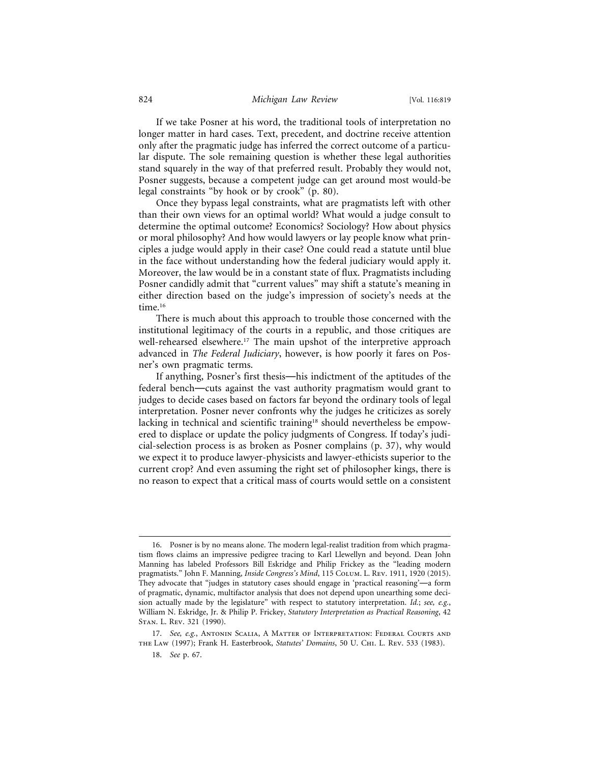If we take Posner at his word, the traditional tools of interpretation no longer matter in hard cases. Text, precedent, and doctrine receive attention only after the pragmatic judge has inferred the correct outcome of a particular dispute. The sole remaining question is whether these legal authorities stand squarely in the way of that preferred result. Probably they would not, Posner suggests, because a competent judge can get around most would-be legal constraints "by hook or by crook" (p. 80).

Once they bypass legal constraints, what are pragmatists left with other than their own views for an optimal world? What would a judge consult to determine the optimal outcome? Economics? Sociology? How about physics or moral philosophy? And how would lawyers or lay people know what principles a judge would apply in their case? One could read a statute until blue in the face without understanding how the federal judiciary would apply it. Moreover, the law would be in a constant state of flux. Pragmatists including Posner candidly admit that "current values" may shift a statute's meaning in either direction based on the judge's impression of society's needs at the time.<sup>16</sup>

There is much about this approach to trouble those concerned with the institutional legitimacy of the courts in a republic, and those critiques are well-rehearsed elsewhere.<sup>17</sup> The main upshot of the interpretive approach advanced in *The Federal Judiciary*, however, is how poorly it fares on Posner's own pragmatic terms.

If anything, Posner's first thesis—his indictment of the aptitudes of the federal bench—cuts against the vast authority pragmatism would grant to judges to decide cases based on factors far beyond the ordinary tools of legal interpretation. Posner never confronts why the judges he criticizes as sorely lacking in technical and scientific training<sup>18</sup> should nevertheless be empowered to displace or update the policy judgments of Congress. If today's judicial-selection process is as broken as Posner complains (p. 37), why would we expect it to produce lawyer-physicists and lawyer-ethicists superior to the current crop? And even assuming the right set of philosopher kings, there is no reason to expect that a critical mass of courts would settle on a consistent

<sup>16.</sup> Posner is by no means alone. The modern legal-realist tradition from which pragmatism flows claims an impressive pedigree tracing to Karl Llewellyn and beyond. Dean John Manning has labeled Professors Bill Eskridge and Philip Frickey as the "leading modern pragmatists." John F. Manning, *Inside Congress's Mind*, 115 COLUM. L. REV. 1911, 1920 (2015). They advocate that "judges in statutory cases should engage in 'practical reasoning'—a form of pragmatic, dynamic, multifactor analysis that does not depend upon unearthing some decision actually made by the legislature" with respect to statutory interpretation. *Id.*; *see, e.g.*, William N. Eskridge, Jr. & Philip P. Frickey, *Statutory Interpretation as Practical Reasoning*, 42 Stan. L. Rev. 321 (1990).

<sup>17.</sup> *See, e.g.*, Antonin Scalia, A Matter of Interpretation: Federal Courts and the Law (1997); Frank H. Easterbrook, *Statutes' Domains*, 50 U. Chi. L. Rev. 533 (1983).

<sup>18.</sup> *See* p. 67.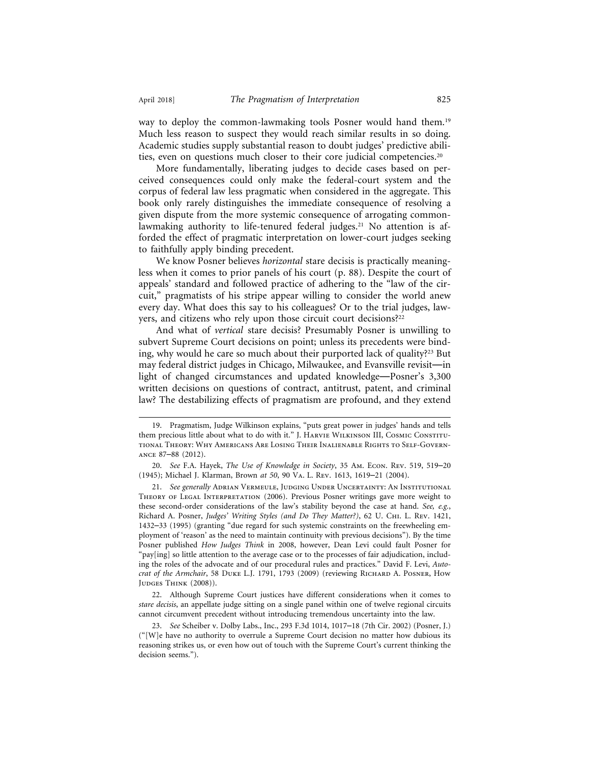way to deploy the common-lawmaking tools Posner would hand them.19 Much less reason to suspect they would reach similar results in so doing. Academic studies supply substantial reason to doubt judges' predictive abilities, even on questions much closer to their core judicial competencies.20

More fundamentally, liberating judges to decide cases based on perceived consequences could only make the federal-court system and the corpus of federal law less pragmatic when considered in the aggregate. This book only rarely distinguishes the immediate consequence of resolving a given dispute from the more systemic consequence of arrogating commonlawmaking authority to life-tenured federal judges.<sup>21</sup> No attention is afforded the effect of pragmatic interpretation on lower-court judges seeking to faithfully apply binding precedent.

We know Posner believes *horizontal* stare decisis is practically meaningless when it comes to prior panels of his court (p. 88). Despite the court of appeals' standard and followed practice of adhering to the "law of the circuit," pragmatists of his stripe appear willing to consider the world anew every day. What does this say to his colleagues? Or to the trial judges, lawyers, and citizens who rely upon those circuit court decisions?22

And what of *vertical* stare decisis? Presumably Posner is unwilling to subvert Supreme Court decisions on point; unless its precedents were binding, why would he care so much about their purported lack of quality?23 But may federal district judges in Chicago, Milwaukee, and Evansville revisit—in light of changed circumstances and updated knowledge—Posner's 3,300 written decisions on questions of contract, antitrust, patent, and criminal law? The destabilizing effects of pragmatism are profound, and they extend

20. *See* F.A. Hayek, *The Use of Knowledge in Society*, 35 Am. Econ. Rev. 519, 519–20 (1945); Michael J. Klarman, Brown *at 50*, 90 Va. L. Rev. 1613, 1619–21 (2004).

21. See generally ADRIAN VERMEULE, JUDGING UNDER UNCERTAINTY: AN INSTITUTIONAL THEORY OF LEGAL INTERPRETATION (2006). Previous Posner writings gave more weight to these second-order considerations of the law's stability beyond the case at hand. *See, e.g.*, Richard A. Posner, *Judges' Writing Styles (and Do They Matter?)*, 62 U. Chi. L. Rev. 1421, 1432–33 (1995) (granting "due regard for such systemic constraints on the freewheeling employment of 'reason' as the need to maintain continuity with previous decisions"). By the time Posner published *How Judges Think* in 2008, however, Dean Levi could fault Posner for "pay[ing] so little attention to the average case or to the processes of fair adjudication, including the roles of the advocate and of our procedural rules and practices." David F. Levi, *Autocrat of the Armchair*, 58 Duke L.J. 1791, 1793 (2009) (reviewing Richard A. Posner, How JUDGES THINK (2008)).

22. Although Supreme Court justices have different considerations when it comes to *stare decisis*, an appellate judge sitting on a single panel within one of twelve regional circuits cannot circumvent precedent without introducing tremendous uncertainty into the law.

23. *See* Scheiber v. Dolby Labs., Inc., 293 F.3d 1014, 1017–18 (7th Cir. 2002) (Posner, J.) ("[W]e have no authority to overrule a Supreme Court decision no matter how dubious its reasoning strikes us, or even how out of touch with the Supreme Court's current thinking the decision seems.").

<sup>19.</sup> Pragmatism, Judge Wilkinson explains, "puts great power in judges' hands and tells them precious little about what to do with it." J. Harvie Wilkinson III, Cosmic Constitutional Theory: Why Americans Are Losing Their Inalienable Rights to Self-Governance 87–88 (2012).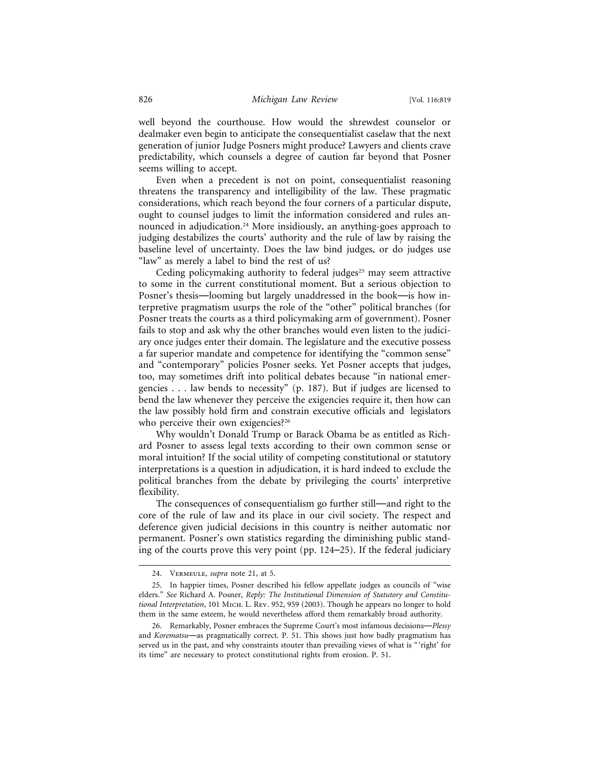well beyond the courthouse. How would the shrewdest counselor or dealmaker even begin to anticipate the consequentialist caselaw that the next generation of junior Judge Posners might produce? Lawyers and clients crave predictability, which counsels a degree of caution far beyond that Posner seems willing to accept.

Even when a precedent is not on point, consequentialist reasoning threatens the transparency and intelligibility of the law. These pragmatic considerations, which reach beyond the four corners of a particular dispute, ought to counsel judges to limit the information considered and rules announced in adjudication.<sup>24</sup> More insidiously, an anything-goes approach to judging destabilizes the courts' authority and the rule of law by raising the baseline level of uncertainty. Does the law bind judges, or do judges use "law" as merely a label to bind the rest of us?

Ceding policymaking authority to federal judges<sup>25</sup> may seem attractive to some in the current constitutional moment. But a serious objection to Posner's thesis—looming but largely unaddressed in the book—is how interpretive pragmatism usurps the role of the "other" political branches (for Posner treats the courts as a third policymaking arm of government). Posner fails to stop and ask why the other branches would even listen to the judiciary once judges enter their domain. The legislature and the executive possess a far superior mandate and competence for identifying the "common sense" and "contemporary" policies Posner seeks. Yet Posner accepts that judges, too, may sometimes drift into political debates because "in national emergencies . . . law bends to necessity" (p. 187). But if judges are licensed to bend the law whenever they perceive the exigencies require it, then how can the law possibly hold firm and constrain executive officials and legislators who perceive their own exigencies?<sup>26</sup>

Why wouldn't Donald Trump or Barack Obama be as entitled as Richard Posner to assess legal texts according to their own common sense or moral intuition? If the social utility of competing constitutional or statutory interpretations is a question in adjudication, it is hard indeed to exclude the political branches from the debate by privileging the courts' interpretive flexibility.

The consequences of consequentialism go further still—and right to the core of the rule of law and its place in our civil society. The respect and deference given judicial decisions in this country is neither automatic nor permanent. Posner's own statistics regarding the diminishing public standing of the courts prove this very point (pp. 124–25). If the federal judiciary

<sup>24.</sup> Vermeule, *supra* note 21, at 5.

<sup>25.</sup> In happier times, Posner described his fellow appellate judges as councils of "wise elders." *See* Richard A. Posner, *Reply: The Institutional Dimension of Statutory and Constitutional Interpretation*, 101 Mich. L. Rev. 952, 959 (2003). Though he appears no longer to hold them in the same esteem, he would nevertheless afford them remarkably broad authority.

<sup>26.</sup> Remarkably, Posner embraces the Supreme Court's most infamous decisions—*Plessy* and *Korematsu*—as pragmatically correct. P. 51. This shows just how badly pragmatism has served us in the past, and why constraints stouter than prevailing views of what is " 'right' for its time" are necessary to protect constitutional rights from erosion. P. 51.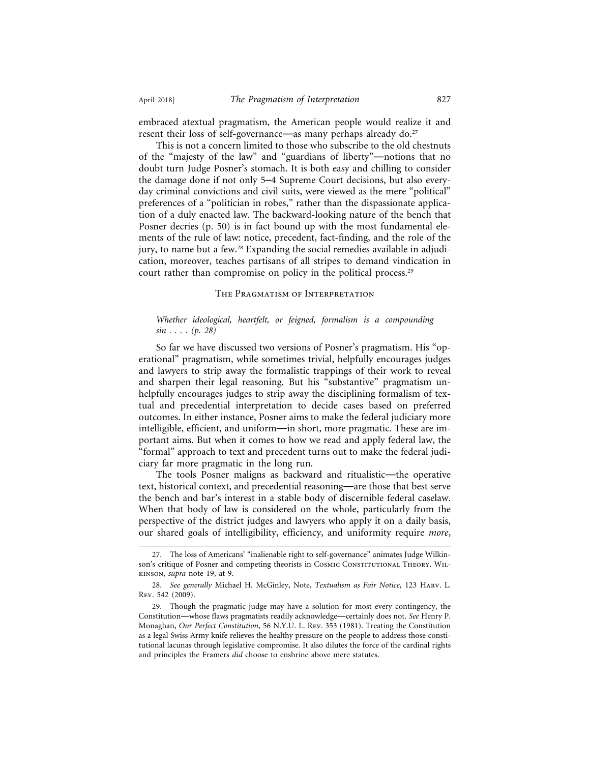embraced atextual pragmatism, the American people would realize it and resent their loss of self-governance—as many perhaps already do.<sup>27</sup>

This is not a concern limited to those who subscribe to the old chestnuts of the "majesty of the law" and "guardians of liberty"—notions that no doubt turn Judge Posner's stomach. It is both easy and chilling to consider the damage done if not only 5–4 Supreme Court decisions, but also everyday criminal convictions and civil suits, were viewed as the mere "political" preferences of a "politician in robes," rather than the dispassionate application of a duly enacted law. The backward-looking nature of the bench that Posner decries (p. 50) is in fact bound up with the most fundamental elements of the rule of law: notice, precedent, fact-finding, and the role of the jury, to name but a few.<sup>28</sup> Expanding the social remedies available in adjudication, moreover, teaches partisans of all stripes to demand vindication in court rather than compromise on policy in the political process.<sup>29</sup>

#### The Pragmatism of Interpretation

#### *Whether ideological, heartfelt, or feigned, formalism is a compounding sin . . . . (p. 28)*

So far we have discussed two versions of Posner's pragmatism. His "operational" pragmatism, while sometimes trivial, helpfully encourages judges and lawyers to strip away the formalistic trappings of their work to reveal and sharpen their legal reasoning. But his "substantive" pragmatism unhelpfully encourages judges to strip away the disciplining formalism of textual and precedential interpretation to decide cases based on preferred outcomes. In either instance, Posner aims to make the federal judiciary more intelligible, efficient, and uniform—in short, more pragmatic. These are important aims. But when it comes to how we read and apply federal law, the "formal" approach to text and precedent turns out to make the federal judiciary far more pragmatic in the long run.

The tools Posner maligns as backward and ritualistic—the operative text, historical context, and precedential reasoning—are those that best serve the bench and bar's interest in a stable body of discernible federal caselaw. When that body of law is considered on the whole, particularly from the perspective of the district judges and lawyers who apply it on a daily basis, our shared goals of intelligibility, efficiency, and uniformity require *more*,

<sup>27.</sup> The loss of Americans' "inalienable right to self-governance" animates Judge Wilkinson's critique of Posner and competing theorists in Cosmic Constitutional Theory. Willkinson, *supra* note 19, at 9.

<sup>28.</sup> *See generally* Michael H. McGinley, Note, *Textualism as Fair Notice*, 123 Harv. L. Rev. 542 (2009).

<sup>29.</sup> Though the pragmatic judge may have a solution for most every contingency, the Constitution—whose flaws pragmatists readily acknowledge—certainly does not. *See* Henry P. Monaghan, *Our Perfect Constitution*, 56 N.Y.U. L. Rev. 353 (1981). Treating the Constitution as a legal Swiss Army knife relieves the healthy pressure on the people to address those constitutional lacunas through legislative compromise. It also dilutes the force of the cardinal rights and principles the Framers *did* choose to enshrine above mere statutes.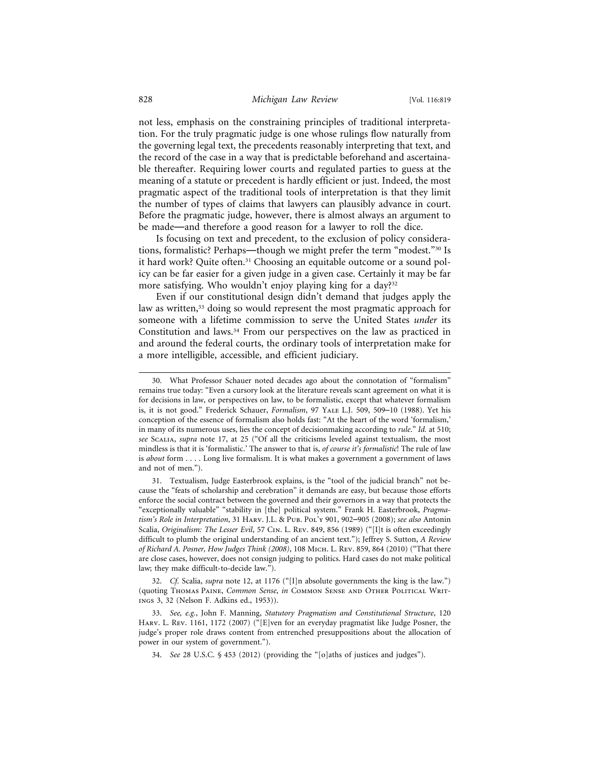not less, emphasis on the constraining principles of traditional interpretation. For the truly pragmatic judge is one whose rulings flow naturally from the governing legal text, the precedents reasonably interpreting that text, and the record of the case in a way that is predictable beforehand and ascertainable thereafter. Requiring lower courts and regulated parties to guess at the meaning of a statute or precedent is hardly efficient or just. Indeed, the most pragmatic aspect of the traditional tools of interpretation is that they limit the number of types of claims that lawyers can plausibly advance in court. Before the pragmatic judge, however, there is almost always an argument to be made—and therefore a good reason for a lawyer to roll the dice.

Is focusing on text and precedent, to the exclusion of policy considerations, formalistic? Perhaps—though we might prefer the term "modest."30 Is it hard work? Quite often.<sup>31</sup> Choosing an equitable outcome or a sound policy can be far easier for a given judge in a given case. Certainly it may be far more satisfying. Who wouldn't enjoy playing king for a day?32

Even if our constitutional design didn't demand that judges apply the law as written,<sup>33</sup> doing so would represent the most pragmatic approach for someone with a lifetime commission to serve the United States *under* its Constitution and laws.34 From our perspectives on the law as practiced in and around the federal courts, the ordinary tools of interpretation make for a more intelligible, accessible, and efficient judiciary.

31. Textualism, Judge Easterbrook explains, is the "tool of the judicial branch" not because the "feats of scholarship and cerebration" it demands are easy, but because those efforts enforce the social contract between the governed and their governors in a way that protects the "exceptionally valuable" "stability in [the] political system." Frank H. Easterbrook, *Pragmatism's Role in Interpretation*, 31 Harv. J.L. & Pub. Pol'y 901, 902–905 (2008); *see also* Antonin Scalia, *Originalism: The Lesser Evil*, 57 Cin. L. Rev. 849, 856 (1989) ("[I]t is often exceedingly difficult to plumb the original understanding of an ancient text."); Jeffrey S. Sutton, *A Review of Richard A. Posner, How Judges Think (2008)*, 108 Mich. L. Rev. 859, 864 (2010) ("That there are close cases, however, does not consign judging to politics. Hard cases do not make political law; they make difficult-to-decide law.").

32. *Cf.* Scalia, *supra* note 12, at 1176 ("[I]n absolute governments the king is the law.") (quoting Thomas Paine, *Common Sense*, *in* Common Sense and Other Political Writings 3, 32 (Nelson F. Adkins ed., 1953)).

33. *See, e.g.*, John F. Manning, *Statutory Pragmatism and Constitutional Structure*, 120 Harv. L. Rev. 1161, 1172 (2007) ("[E]ven for an everyday pragmatist like Judge Posner, the judge's proper role draws content from entrenched presuppositions about the allocation of power in our system of government.").

34. *See* 28 U.S.C. § 453 (2012) (providing the "[o]aths of justices and judges").

<sup>30.</sup> What Professor Schauer noted decades ago about the connotation of "formalism" remains true today: "Even a cursory look at the literature reveals scant agreement on what it is for decisions in law, or perspectives on law, to be formalistic, except that whatever formalism is, it is not good." Frederick Schauer, *Formalism*, 97 Yale L.J. 509, 509–10 (1988). Yet his conception of the essence of formalism also holds fast: "At the heart of the word 'formalism,' in many of its numerous uses, lies the concept of decisionmaking according to *rule*." *Id.* at 510; *see* Scalia, *supra* note 17, at 25 ("Of all the criticisms leveled against textualism, the most mindless is that it is 'formalistic.' The answer to that is, *of course it's formalistic*! The rule of law is *about* form . . . . Long live formalism. It is what makes a government a government of laws and not of men.").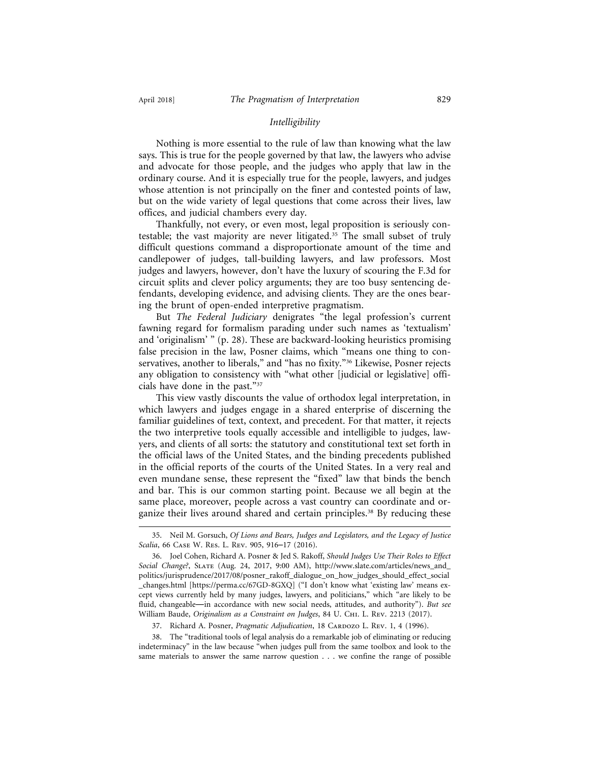#### *Intelligibility*

Nothing is more essential to the rule of law than knowing what the law says. This is true for the people governed by that law, the lawyers who advise and advocate for those people, and the judges who apply that law in the ordinary course. And it is especially true for the people, lawyers, and judges whose attention is not principally on the finer and contested points of law, but on the wide variety of legal questions that come across their lives, law offices, and judicial chambers every day.

Thankfully, not every, or even most, legal proposition is seriously contestable; the vast majority are never litigated.<sup>35</sup> The small subset of truly difficult questions command a disproportionate amount of the time and candlepower of judges, tall-building lawyers, and law professors. Most judges and lawyers, however, don't have the luxury of scouring the F.3d for circuit splits and clever policy arguments; they are too busy sentencing defendants, developing evidence, and advising clients. They are the ones bearing the brunt of open-ended interpretive pragmatism.

But *The Federal Judiciary* denigrates "the legal profession's current fawning regard for formalism parading under such names as 'textualism' and 'originalism' " (p. 28). These are backward-looking heuristics promising false precision in the law, Posner claims, which "means one thing to conservatives, another to liberals," and "has no fixity."36 Likewise, Posner rejects any obligation to consistency with "what other [judicial or legislative] officials have done in the past."37

This view vastly discounts the value of orthodox legal interpretation, in which lawyers and judges engage in a shared enterprise of discerning the familiar guidelines of text, context, and precedent. For that matter, it rejects the two interpretive tools equally accessible and intelligible to judges, lawyers, and clients of all sorts: the statutory and constitutional text set forth in the official laws of the United States, and the binding precedents published in the official reports of the courts of the United States. In a very real and even mundane sense, these represent the "fixed" law that binds the bench and bar. This is our common starting point. Because we all begin at the same place, moreover, people across a vast country can coordinate and organize their lives around shared and certain principles.<sup>38</sup> By reducing these

38. The "traditional tools of legal analysis do a remarkable job of eliminating or reducing indeterminacy" in the law because "when judges pull from the same toolbox and look to the same materials to answer the same narrow question . . . we confine the range of possible

<sup>35.</sup> Neil M. Gorsuch, *Of Lions and Bears, Judges and Legislators, and the Legacy of Justice Scalia*, 66 Case W. Res. L. Rev. 905, 916–17 (2016).

<sup>36.</sup> Joel Cohen, Richard A. Posner & Jed S. Rakoff, *Should Judges Use Their Roles to Effect Social Change?*, Slate (Aug. 24, 2017, 9:00 AM), http://www.slate.com/articles/news\_and\_ politics/jurisprudence/2017/08/posner\_rakoff\_dialogue\_on\_how\_judges\_should\_effect\_social \_changes.html [https://perma.cc/67GD-8GXQ] ("I don't know what 'existing law' means except views currently held by many judges, lawyers, and politicians," which "are likely to be fluid, changeable—in accordance with new social needs, attitudes, and authority"). *But see* William Baude, *Originalism as a Constraint on Judges*, 84 U. Chi. L. Rev. 2213 (2017).

<sup>37.</sup> Richard A. Posner, *Pragmatic Adjudication*, 18 CARDOZO L. REV. 1, 4 (1996).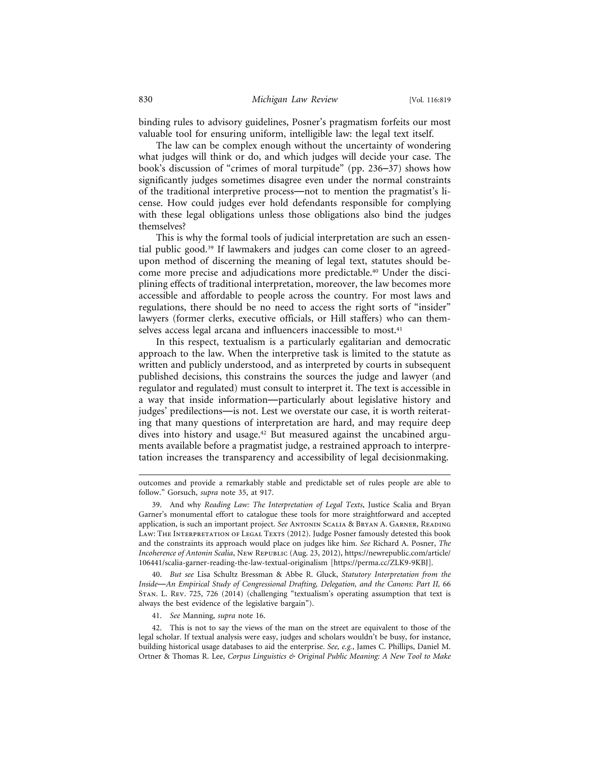binding rules to advisory guidelines, Posner's pragmatism forfeits our most valuable tool for ensuring uniform, intelligible law: the legal text itself.

The law can be complex enough without the uncertainty of wondering what judges will think or do, and which judges will decide your case. The book's discussion of "crimes of moral turpitude" (pp. 236–37) shows how significantly judges sometimes disagree even under the normal constraints of the traditional interpretive process—not to mention the pragmatist's license. How could judges ever hold defendants responsible for complying with these legal obligations unless those obligations also bind the judges themselves?

This is why the formal tools of judicial interpretation are such an essential public good.39 If lawmakers and judges can come closer to an agreedupon method of discerning the meaning of legal text, statutes should become more precise and adjudications more predictable.40 Under the disciplining effects of traditional interpretation, moreover, the law becomes more accessible and affordable to people across the country. For most laws and regulations, there should be no need to access the right sorts of "insider" lawyers (former clerks, executive officials, or Hill staffers) who can themselves access legal arcana and influencers inaccessible to most.<sup>41</sup>

In this respect, textualism is a particularly egalitarian and democratic approach to the law. When the interpretive task is limited to the statute as written and publicly understood, and as interpreted by courts in subsequent published decisions, this constrains the sources the judge and lawyer (and regulator and regulated) must consult to interpret it. The text is accessible in a way that inside information—particularly about legislative history and judges' predilections—is not. Lest we overstate our case, it is worth reiterating that many questions of interpretation are hard, and may require deep dives into history and usage.<sup>42</sup> But measured against the uncabined arguments available before a pragmatist judge, a restrained approach to interpretation increases the transparency and accessibility of legal decisionmaking.

40. *But see* Lisa Schultz Bressman & Abbe R. Gluck, *Statutory Interpretation from the Inside*—*An Empirical Study of Congressional Drafting, Delegation, and the Canons: Part II,* 66 Stan. L. Rev. 725, 726 (2014) (challenging "textualism's operating assumption that text is always the best evidence of the legislative bargain").

41. *See* Manning, *supra* note 16.

42. This is not to say the views of the man on the street are equivalent to those of the legal scholar. If textual analysis were easy, judges and scholars wouldn't be busy, for instance, building historical usage databases to aid the enterprise. *See, e.g.*, James C. Phillips, Daniel M. Ortner & Thomas R. Lee, *Corpus Linguistics & Original Public Meaning: A New Tool to Make*

outcomes and provide a remarkably stable and predictable set of rules people are able to follow." Gorsuch, *supra* note 35, at 917.

<sup>39.</sup> And why *Reading Law: The Interpretation of Legal Texts*, Justice Scalia and Bryan Garner's monumental effort to catalogue these tools for more straightforward and accepted application, is such an important project. *See* Antonin Scalia & Bryan A. Garner, Reading LAW: THE INTERPRETATION OF LEGAL TEXTS (2012). Judge Posner famously detested this book and the constraints its approach would place on judges like him. *See* Richard A. Posner, *The Incoherence of Antonin Scalia*, New Republic (Aug. 23, 2012), https://newrepublic.com/article/ 106441/scalia-garner-reading-the-law-textual-originalism [https://perma.cc/ZLK9-9KBJ].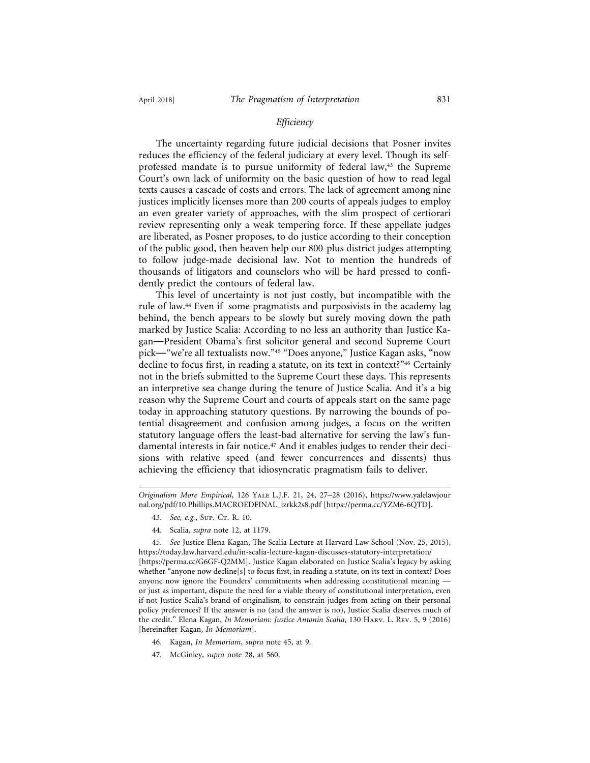#### *Efficiency*

The uncertainty regarding future judicial decisions that Posner invites reduces the efficiency of the federal judiciary at every level. Though its selfprofessed mandate is to pursue uniformity of federal law,<sup>43</sup> the Supreme Court's own lack of uniformity on the basic question of how to read legal texts causes a cascade of costs and errors. The lack of agreement among nine justices implicitly licenses more than 200 courts of appeals judges to employ an even greater variety of approaches, with the slim prospect of certiorari review representing only a weak tempering force. If these appellate judges are liberated, as Posner proposes, to do justice according to their conception of the public good, then heaven help our 800-plus district judges attempting to follow judge-made decisional law. Not to mention the hundreds of thousands of litigators and counselors who will be hard pressed to confidently predict the contours of federal law.

This level of uncertainty is not just costly, but incompatible with the rule of law.<sup>44</sup> Even if some pragmatists and purposivists in the academy lag behind, the bench appears to be slowly but surely moving down the path marked by Justice Scalia: According to no less an authority than Justice Kagan—President Obama's first solicitor general and second Supreme Court pick—"we're all textualists now."45 "Does anyone," Justice Kagan asks, "now decline to focus first, in reading a statute, on its text in context?"46 Certainly not in the briefs submitted to the Supreme Court these days. This represents an interpretive sea change during the tenure of Justice Scalia. And it's a big reason why the Supreme Court and courts of appeals start on the same page today in approaching statutory questions. By narrowing the bounds of potential disagreement and confusion among judges, a focus on the written statutory language offers the least-bad alternative for serving the law's fundamental interests in fair notice.47 And it enables judges to render their decisions with relative speed (and fewer concurrences and dissents) thus achieving the efficiency that idiosyncratic pragmatism fails to deliver.

45. *See* Justice Elena Kagan, The Scalia Lecture at Harvard Law School (Nov. 25, 2015), https://today.law.harvard.edu/in-scalia-lecture-kagan-discusses-statutory-interpretation/ [https://perma.cc/G6GF-Q2MM]. Justice Kagan elaborated on Justice Scalia's legacy by asking whether "anyone now decline[s] to focus first, in reading a statute, on its text in context? Does anyone now ignore the Founders' commitments when addressing constitutional meaning or just as important, dispute the need for a viable theory of constitutional interpretation, even if not Justice Scalia's brand of originalism, to constrain judges from acting on their personal policy preferences? If the answer is no (and the answer is no), Justice Scalia deserves much of the credit." Elena Kagan, *In Memoriam: Justice Antonin Scalia*, 130 Harv. L. Rev. 5, 9 (2016) [hereinafter Kagan, *In Memoriam*].

- 46. Kagan, *In Memoriam*, *supra* note 45, at 9.
- 47. McGinley, *supra* note 28, at 560.

*Originalism More Empirical*, 126 Yale L.J.F. 21, 24, 27–28 (2016), https://www.yalelawjour nal.org/pdf/10.Phillips.MACROEDFINAL\_izrkk2s8.pdf [https://perma.cc/YZM6-6QTD].

<sup>43.</sup> *See, e.g.*, Sup. Cr. R. 10.

<sup>44.</sup> Scalia, *supra* note 12, at 1179.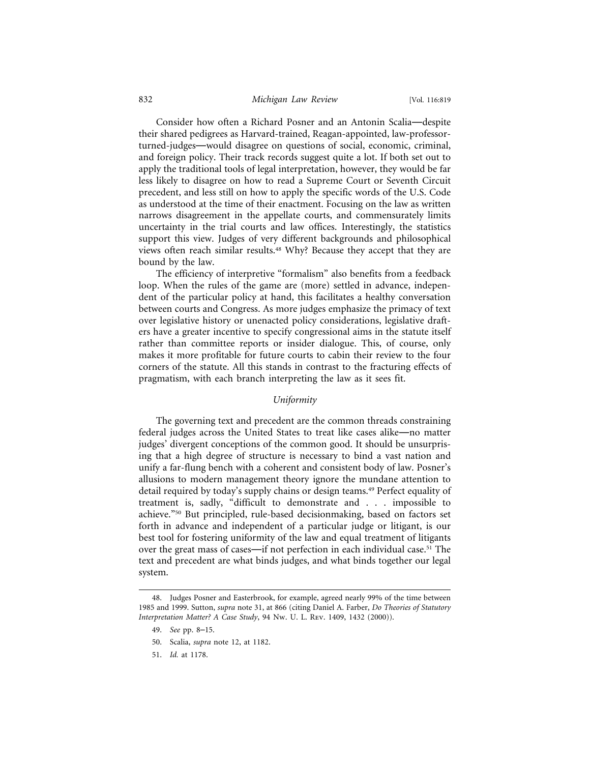#### 832 *Michigan Law Review* [Vol. 116:819

Consider how often a Richard Posner and an Antonin Scalia—despite their shared pedigrees as Harvard-trained, Reagan-appointed, law-professorturned-judges—would disagree on questions of social, economic, criminal, and foreign policy. Their track records suggest quite a lot. If both set out to apply the traditional tools of legal interpretation, however, they would be far less likely to disagree on how to read a Supreme Court or Seventh Circuit precedent, and less still on how to apply the specific words of the U.S. Code as understood at the time of their enactment. Focusing on the law as written narrows disagreement in the appellate courts, and commensurately limits uncertainty in the trial courts and law offices. Interestingly, the statistics support this view. Judges of very different backgrounds and philosophical views often reach similar results.48 Why? Because they accept that they are bound by the law.

The efficiency of interpretive "formalism" also benefits from a feedback loop. When the rules of the game are (more) settled in advance, independent of the particular policy at hand, this facilitates a healthy conversation between courts and Congress. As more judges emphasize the primacy of text over legislative history or unenacted policy considerations, legislative drafters have a greater incentive to specify congressional aims in the statute itself rather than committee reports or insider dialogue. This, of course, only makes it more profitable for future courts to cabin their review to the four corners of the statute. All this stands in contrast to the fracturing effects of pragmatism, with each branch interpreting the law as it sees fit.

#### *Uniformity*

The governing text and precedent are the common threads constraining federal judges across the United States to treat like cases alike—no matter judges' divergent conceptions of the common good. It should be unsurprising that a high degree of structure is necessary to bind a vast nation and unify a far-flung bench with a coherent and consistent body of law. Posner's allusions to modern management theory ignore the mundane attention to detail required by today's supply chains or design teams.<sup>49</sup> Perfect equality of treatment is, sadly, "difficult to demonstrate and . . . impossible to achieve."50 But principled, rule-based decisionmaking, based on factors set forth in advance and independent of a particular judge or litigant, is our best tool for fostering uniformity of the law and equal treatment of litigants over the great mass of cases—if not perfection in each individual case.51 The text and precedent are what binds judges, and what binds together our legal system.

49. *See* pp. 8–15.

<sup>48.</sup> Judges Posner and Easterbrook, for example, agreed nearly 99% of the time between 1985 and 1999. Sutton, *supra* note 31, at 866 (citing Daniel A. Farber, *Do Theories of Statutory Interpretation Matter? A Case Study*, 94 Nw. U. L. Rev. 1409, 1432 (2000)).

<sup>50.</sup> Scalia, *supra* note 12, at 1182.

<sup>51.</sup> *Id.* at 1178.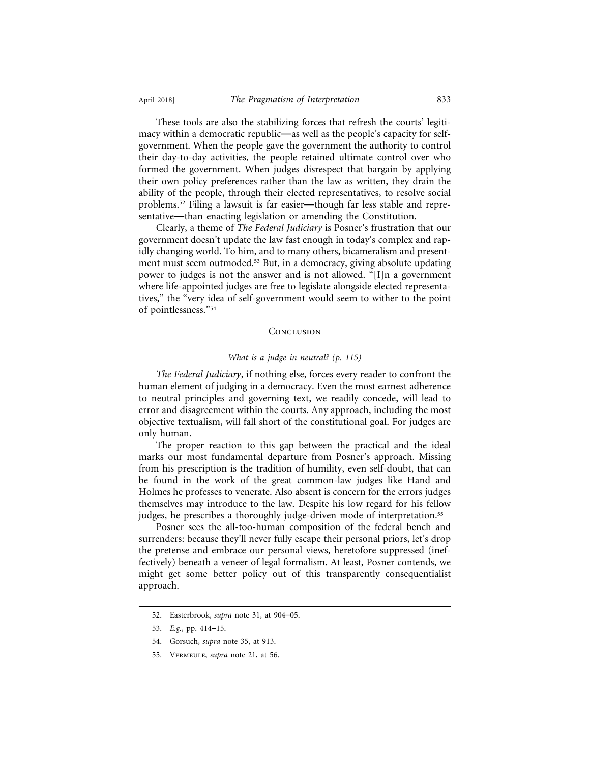These tools are also the stabilizing forces that refresh the courts' legitimacy within a democratic republic—as well as the people's capacity for selfgovernment. When the people gave the government the authority to control their day-to-day activities, the people retained ultimate control over who formed the government. When judges disrespect that bargain by applying their own policy preferences rather than the law as written, they drain the ability of the people, through their elected representatives, to resolve social problems.52 Filing a lawsuit is far easier—though far less stable and representative—than enacting legislation or amending the Constitution.

Clearly, a theme of *The Federal Judiciary* is Posner's frustration that our government doesn't update the law fast enough in today's complex and rapidly changing world. To him, and to many others, bicameralism and presentment must seem outmoded.<sup>53</sup> But, in a democracy, giving absolute updating power to judges is not the answer and is not allowed. "[I]n a government where life-appointed judges are free to legislate alongside elected representatives," the "very idea of self-government would seem to wither to the point of pointlessness."54

#### **CONCLUSION**

#### *What is a judge in neutral? (p. 115)*

*The Federal Judiciary*, if nothing else, forces every reader to confront the human element of judging in a democracy. Even the most earnest adherence to neutral principles and governing text, we readily concede, will lead to error and disagreement within the courts. Any approach, including the most objective textualism, will fall short of the constitutional goal. For judges are only human.

The proper reaction to this gap between the practical and the ideal marks our most fundamental departure from Posner's approach. Missing from his prescription is the tradition of humility, even self-doubt, that can be found in the work of the great common-law judges like Hand and Holmes he professes to venerate. Also absent is concern for the errors judges themselves may introduce to the law. Despite his low regard for his fellow judges, he prescribes a thoroughly judge-driven mode of interpretation.<sup>55</sup>

Posner sees the all-too-human composition of the federal bench and surrenders: because they'll never fully escape their personal priors, let's drop the pretense and embrace our personal views, heretofore suppressed (ineffectively) beneath a veneer of legal formalism. At least, Posner contends, we might get some better policy out of this transparently consequentialist approach.

<sup>52.</sup> Easterbrook, *supra* note 31, at 904–05.

<sup>53.</sup> *E.g.*, pp. 414–15.

<sup>54.</sup> Gorsuch, *supra* note 35, at 913.

<sup>55.</sup> Vermeule, *supra* note 21, at 56.